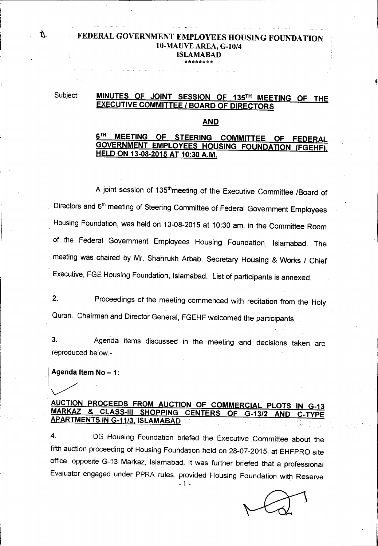#### **8. EEDERAL GOVERNMENT EMPLOYEES HOUSING FOUNDATION** lO-MAUVE AREA, G-1O/4 ISLAMABAD \*\*\*\*\*\*\*\*

### Subject: MINUTES OF JOINT SESSION OF 135TH MEETING OF THE EXECUTIVE COMMITTEE *I* BOARD OF DIRECTORS

#### AND

#### 6<sup>TH</sup> MEETING OF STEERING COMMITTEE OF FEDERAL GOVERNMENT EMPLOYEES HOUSING FOUNDATION (FGEHF), HELD ON 13-08-2015 AT 10:30 A.M.

A joint session of 135<sup>th</sup>meeting of the Executive Committee /Board of Directors and 6<sup>th</sup> meeting of Steering Committee of Federal Government Employees Housing Foundation, was held on 13-08-2015 at 10:30 am, in the Committee Room of the Federal Government Employees Housing Foundation, Islamabad. The . meeting was chaired by Mr. Shahrukh Arbab, Secretary Housing & Works / Chief Executive, FGE Housing Foundation, Islamabad. List of participants is annexed.

2. Proceedings of the meeting commenced with recitation from the Holy Quran. Chairman and Director General, FGEHF welcomed the participants.

3. Agenda items discussed in the meeting and decisions taken are reproduced below:-

#### Agenda Item  $No - 1$ :

#### AUCTION PROCEEDS FROM AUCTION OF COMMERCIAL PLOTS IN G-13 MARKAZ & CLASS-III SHOPPING CENTERS OF G-13/2 AND APARTMENTS ING-1113,ISLAMABAD

4. DG Housing Foundation briefed the Executive Committee about the fifth auction proceeding of Housing Foundation held on 28-07-2015, at EHFPRO site office, opposite G-13 Markaz, Islamabad. It was further briefed that a professional Evaluator engaged under PPRA rules, provided Housing Foundation with Reserve

- 1 -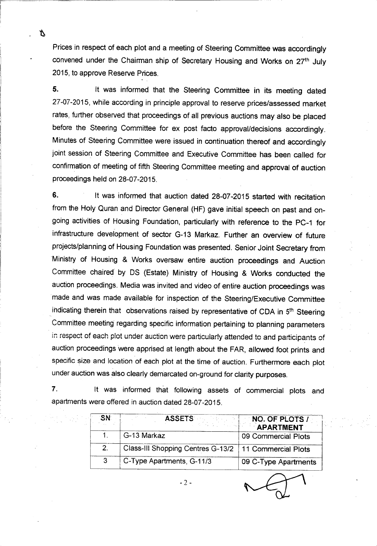Prices in respect of each plot and a meeting of Steering Committee was accordingly convened under the Chairman ship of Secretary Housing and Works on 27<sup>th</sup> July 2015, to approve Reserve Prices.

r I

Y.

5. It was informed that the Steering Committee in its meeting dated 27-07-2015, while according in principle approval to reserve prices/assessed market rates, further observed that proceedings of all previous auctions may also be placed before the Steering Committee for ex post facto approval/decisions accordingly. Minutes of Steering Committee were issued in continuation thereof and accordingly joint session of Steering Committee and Executive Committee has been called for confirmation of meeting of fifth Steering Committee meeting and approval of auction proceedings held on 28-07-2015.

6. It was informed that auction dated 28-07-2015 started with recitation from the Holy Quran and Director General (HF) gave initial speech on past and ongoing activities of Housing Foundation, particularly with reference to the PC-1 for infrastructure development of sector G-13 Markaz. Further an overview of future projects/planning of Housing Foundation was presented. Senior Joint Secretary from 'Ministry of Housing & Works oversaw entire auction proceedings and Auction Committee chaired" by OS (Estate) Ministry of Housing & Works conducted the auction proceedings. Media was invited and video of entire auction proceedings was made and was made available for inspection of the Steering/Executive Committee indicating therein that observations raised by representative of CDA in 5<sup>th</sup> Steerin Committee meeting regarding specific information pertaining to planning parameters in respect of each plot under auction were particularly attended to and participants of auction proceedings were apprised at length about the FAR, allowed foot prints and specific size and location of each plot at the time of auction. Furthermore each plot under auction was also clearly demarcated on-ground for clarity purposes.

7. It was informed that following assets of commercial plots and apartments were offered in auction dated 28-07-2015.

| SN.           | <b>ASSETS</b>                                           | NO. OF PLOTS /<br>APARTMENT |
|---------------|---------------------------------------------------------|-----------------------------|
|               | G-13 Markaz                                             | 09 Commercial Plots         |
| $\mathcal{P}$ | Class-III Shopping Centres G-13/2   11 Commercial Plots |                             |
| -3            | C-Type Apartments, G-11/3                               | 09 C-Type Apartments        |

 $-2 -$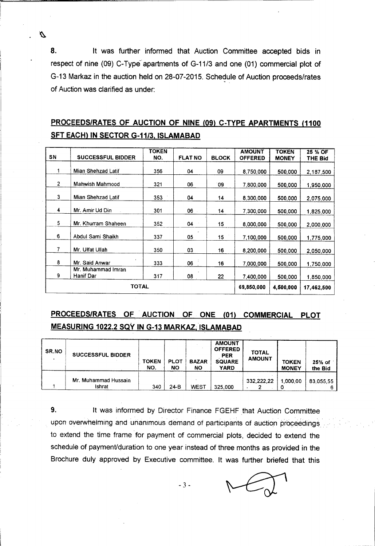8. It was further informed that Auction Committee accepted bids in respect of nine (09) C-Type apartments of G-11/3 and one (01) commercial plot of G-13 Markaz in the auction held on 28-07-2015. Schedule of Auction proceeds/rates of Auction was clarified as under:

D

## PROCEEDS/RATES OF AUCTION OF NINE (09) C-TYPE APARTMENTS (1100 SFT EACH) IN SECTOR G-11/3, ISLAMABAD

| SN             | <b>SUCCESSFUL BIDDER</b>        | <b>TOKEN</b><br>NO. | <b>FLAT NO</b> | <b>BLOCK</b> | <b>AMOUNT</b><br><b>OFFERED</b> | <b>TOKEN</b><br><b>MONEY</b> | 25 % OF<br>THE Bid |
|----------------|---------------------------------|---------------------|----------------|--------------|---------------------------------|------------------------------|--------------------|
|                | Mian Shehzad Latif              | 356                 | 04             | 09           | 8,750,000                       | 500,000                      | 2,187,500          |
| $\overline{2}$ | <b>Mahwish Mahmood</b>          | 321                 | 06             | 09.          | 7,800,000                       | 500,000                      | 1,950,000          |
| 3              | Mian Shehzad Latif              | 353                 | 04             | 14           | 8,300,000                       | 500,000                      | 2,075,000          |
| 4              | Mr. Amir Ud Din                 | 301                 | 06             | 14           | 7,300,000                       | 500,000                      | 1,825,000          |
| 5              | Mr. Khurram Shaheen             | 352                 | 04             | 15           | 8,000,000                       | 500,000                      | 2,000,000          |
| 6              | Abdul Sami Shaikh               | 337                 | 05             | 15           | 7,100,000                       | 500,000                      | 1,775,000          |
| 7              | Mr. Ulfat Ullah                 | 350                 | 03             | 16           | 8,200,000                       | 500,000                      | 2,050,000          |
| 8              | Mr. Said Anwar                  | 333                 | 06             | 16           | 7,000,000                       | 500,000                      | 1,750,000          |
| 9              | Mr. Muhammad Imran<br>Hanif Dar | 317                 | 08             | 22           | 7.400,000                       | 500,000                      | 1,850,000          |
|                | <b>TOTAL</b>                    | 69.850,000          | 4,500,000      | 17,462,500   |                                 |                              |                    |

# PROCEEDS/RATES OF' AUCTION OF ONE (01) COMMERCIAL PLOT MEASURING 1022.2 SQY IN G-13 MARKAZ, ISLAMABAD

| SR.NO | <b>SUCCESSFUL BIDDER</b>       | <b>TOKEN</b><br>NO. | <b>PLOT</b><br>NΟ | <b>BAZAR</b><br>ΝO | <b>AMOUNT</b><br><b>OFFERED</b><br><b>PER</b><br><b>SQUARE</b><br><b>YARD</b> | <b>TOTAL</b><br><b>AMOUNT</b> | <b>TOKEN</b><br><b>MONEY</b> | $25%$ of<br>the Bid |
|-------|--------------------------------|---------------------|-------------------|--------------------|-------------------------------------------------------------------------------|-------------------------------|------------------------------|---------------------|
|       | Mr. Muhammad Hussain<br>Ishrat | 340                 | $24-B$            | WEST               | 325,000                                                                       | 332.222.22                    | 1.000.00                     | 83.055.55           |

9. It was informed by Director Finance FGEHF that Auction Committee upon overwhelming and unanimous demand of participants of auction proceedings. to extend the time frame for payment of commercial plots, decided to extend the schedule of payment/duration to one year instead of three months as provided in the Brochure duly approved by Executive committee. It was further briefed that this

- 3 -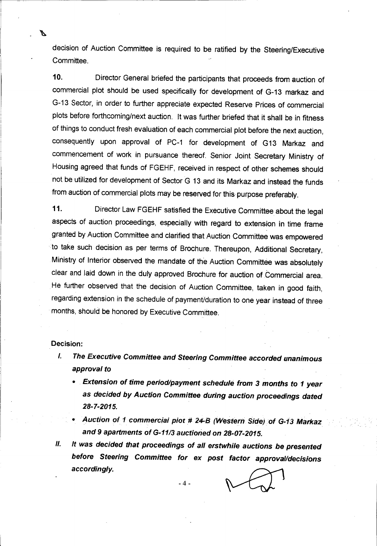decision of Auction Committee is required to be ratified by the Steering/Executive Committee.

10. Director General briefed the participants that proceeds from auction of commercial plot should be used specifically for development of G-13 markaz and G-13 Sector, in order to further appreciate expected Reserve Prices of commercial plots before forthcoming/next auction. It was further briefed that it shall be in fitness of things to conduct fresh evaluation of each commercial plot before the next auction, consequently upon approval of PC-1 for development of G13 Markaz and commencement of work in pursuance thereof. Senior Joint Secretary Ministry of Housing agreed that funds of FGEHF, received in respect of other schemes should not be utilized for development of Sector G 13 and its Markaz and instead the funds from auction of commercial plots may be reserved for this purpose preferably.

11. Director Law FGEHF satisfied the Executive Committee about the legal aspects of auction proceedings, especially with regard to extension in time frame granted by Auction Committee and clarified that Auction Committee was empowered to take such decision as per terms of Brochure. Thereupon, Additional Secretary, Ministry of Interior observed the mandate of the Auction Committee was absolutely clear and laid down in the duly approved Brochure for auction of Commercial area. He further observed that the decision of Auction Committee, taken in good faith, regarding extension in the schedule of payment/duration to one year instead of three months, should be honored by Executive Committee.

#### Decision:

И

- *I. The Executive Committee and Steering Committee accorded unanimous approval to*
	- **•** *Extension of time period/payment schedule from 3 months to 1 year* as *decided by Auction Committee during auction proceedings dated 28-7-2015.*
	- *• Auction of 1commerciai piot* # *24-B (Western Sidejof G~13Markaz and* 9 *apartments of G-11/3auctioned on 28-07-2015.*
- *II. It was decided that proceedings of all erstwhile auctions be presented before Steering Committee for ex post factor approval/decisions accordingly.*

 $-4-$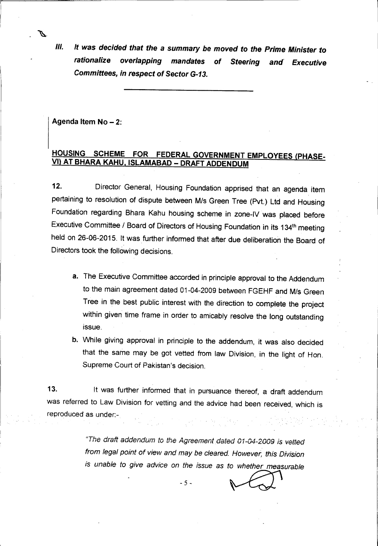*1/1. It was decided that the* a *summary be moved to the Prime Minister* to *rationalize overlapping mandates* of *Steering and' Executive Committees,in respect* of *Sector G-13.*

Agenda Item No - 2:

 $\mathbf{r}$ 

.~

#### HOUSING SCHEME FOR FEDERAL GOVERNMENT EMPLOYEES (PHASE-VI) AT BHARA KAHU, ISLAMABAD - DRAFT ADDENDUM

12. Director General, Housing Foundation apprised that an agenda item pertaining to resolution of dispute between *MIs* Green Tree (Pvt.) Ltd and Housing Foundation regarding Bhara Kahu housing scheme in zone-IV was placed before Executive Committee *I* Board of Directors of Housing Foundation in its 134th meeting held on 26-06-2015. It was further informed that after due deliberation the Board of Directors took the following decisions.

- a. The Executive Committee accorded in principle approval to the Addendum to the main agreement dated 01-04-2009 between FGEHF and *MIs* Green Tree in the best public interest with the direction to complete the project within given time frame in order to amicably resolve the long outstanding issue.
- b. While giving approval in principle to the addendum, it was also decided that the same may be got vetted from law Division, in the light of Hon. Supreme Court of Pakistan's decision.

13. It was further informed that in pursuance thereof, a draft addendum was referred to Law Division for vetting and the advice had been received, which is reproduced as under:-

> *"The draft addendum to the Agreement. dated 01-04-2009 is vetted from legal point of view and may be cleared. However, this Division*is unable to give advice on the issue as to whether measurable

 $-5-$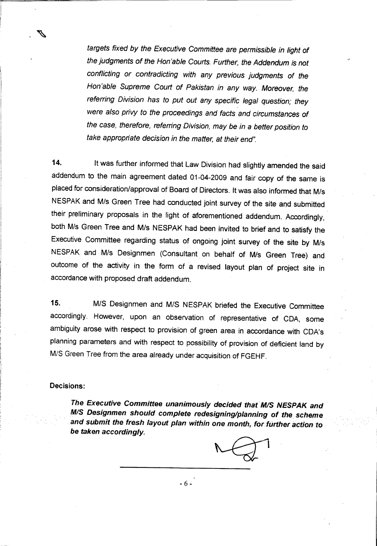*targets fixed by the Executive Committee are permissible in light of the judgments of the Hon'able Courts. Further, the Addendum is not conflicting or contradicting with any previous judgments* of *the Hon'able Supreme Court of Pakistan in any way. Moreover, the referring Division has to put out any specific legal question; they were also privy to the proceedings and facts and circumstances of the case, therefore, referring Division, may be in* a *better position to take appropriate decision in the matter, at their end".*

14. It was further informed that Law Division had slightly amended the said addendum to the main agreement dated 01-04-2009 and fair copy of the same is placed for consideration/approval of Board of Directors. It was also informed that M/s NESPAK and *MIs* Green Tree had conducted joint survey of the site and submitted their preliminary proposals in the light of aforementioned addendum. Accordingly, both *MIs* Green Tree and *MIs* NESPAK had been invited to brief and to satisfy the Executive Committee regarding status of ongoing joint survey of the site by *MIs* NESPAK and *MIs* Designmen (Consultant on behalf of *MIs* Green Tree) and outcome of the activity in the form of a revised layout plan of project site in accordance with proposed draft addendum.

*15. MIS* Designmen and *MIS* NESPAK briefed the Executive Committee accordingly. However, upon an observation of representative of CDA, some ambiguity arose with respect to provision of green area in accordance with CDA's planning parameters and with respect to possibility of provision of deficient land by *MIS* Green Tree from the area already under acquisition of FGEHF.

#### Decisions:

r

.,

*The Executive Committee unanimously decided thatM/S NESPAK and* M/S *Designmenshould complete redesigning/planning of the scheme and submit the fresh layout plan within* one *month, forft.irlheraction* to *be taken accordingly.*

-6-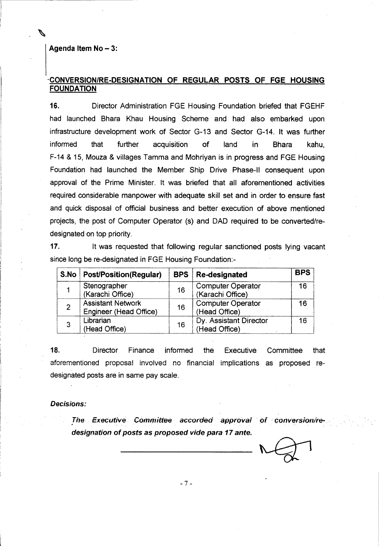#### Agenda Item  $No - 3$ :

 $\mathfrak{f}$  .

 $\overline{a}$ 

#### -CONVERSION/RE-DESIGNATION OF REGULAR POSTS OF FGE HOUSING FOUNDATION

16. Director Administration FGE Housing Foundation briefed that FGEHF had launched Shara Khau Housing Scheme and had also embarked upon infrastructure development work of Sector G-13 and Sector G-14. It was further informed that further acquisition of land in Shara kahu, F-14 & 15, Mouza & villages Tamma and Mohriyan is in progress and FGE Housing Foundation had launched the Member Ship Drive Phase-II consequent upon approval of the Prime Minister. It was briefed that all aforementioned activities required considerable manpower with adequate skill set and in order to ensure fast and quick disposal of official business and better execution of above mentioned projects, the post of Computer Operator (s) and DAD required to be converted/redesignated on top priority.

17. It was requested that following regular sanctioned posts lying vacant since long be re-designated in FGE Housing Foundation:-

| S.No | <b>Post/Position(Regular)</b>                      | <b>BPS</b> | <b>Re-designated</b>                         | <b>BPS</b> |
|------|----------------------------------------------------|------------|----------------------------------------------|------------|
|      | Stenographer<br>(Karachi Office)                   | 16         | <b>Computer Operator</b><br>(Karachi Office) | 16         |
| 2    | <b>Assistant Network</b><br>Engineer (Head Office) | 16         | <b>Computer Operator</b><br>(Head Office)    | 16         |
| 3    | Librarian<br>(Head Office)                         | 16         | Dy. Assistant Director<br>(Head Office)      | 16         |

18. Director Finance informed the Executive. Committee that aforementioned proposal involved no financial implications as proposed redesignated posts are in same pay scale.

#### *Decisions:*

l

*The Executive Committee accorded approval of conversion/redesignation* of *posts* as *proposed vide para* 17*ante.*

- 7 -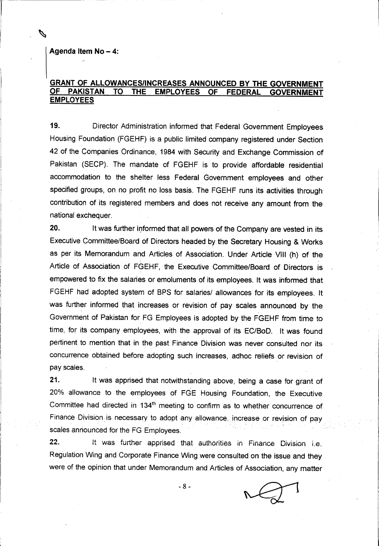Agenda Item  $No - 4$ :

 $\vert$ 

j

I

L\_. \_\_..... \_\_~~~~~ .. \_

#### GRANT OF ALLOWANCES/INCREASES ANNOUNCED BY THE GOVERNMENT PAKISTAN TO THE EMPLOYEES OF FEDERAL GOVERNMENT EMPLOYEES

19. Director Administration informed that Federal Government Employees Housing Foundation (FGEHF) is a public limited company registered under Section 42 of the Companies Ordinance, 1984 with Security and Exchange Commission of Pakistan (SECP). The mandate of FGEHF is to provide affordable residential accommodation to the shelter less Federal Government employees and other specified groups, on no profit no loss basis. The FGEHF runs its activities through contribution of its registered members and does not receive any amount from the national exchequer.

20. It was further informed that all powers of the Company are vested in its Executive Committee/Board of Directors headed by the Secretary Housing & Works as per its Memorandum and Articles of Association. Under Article VIII (h) of the Article of Association of FGEHF, the Executive Committee/Board of Directors is empowered to fix the salaries or emoluments of its employees. It was informed that FGEHF had adopted system of BPS for salaries/ allowances for its employees. It was further informed that increases or revision of pay scales announced by the Government of Pakistan for FG Employees is adopted by the FGEHF from time to time, for its company employees, with the approval of its *EC/BoD.* It was found pertinent to mention that in the past Finance Division was never consulted nor its concurrence obtained before adopting such increases, adhoc reliefs or revision of pay scales.

21. It was apprised that notwithstanding above, being a case for grant of 20% allowance to the employees of FGE Housing Foundation, the Executive Committee had directed in 134<sup>th</sup> meeting to confirm as to whether concurrence of Finance Division is necessary to adopt any allowance. increase or revision of pay scales announced for the FG Employees.

22. It was further apprised that authorities in Finance Division i.e. Regulation Wing and Corporate Finance Wing were consulted on the issue and they were of the opinion that under Memorandum and Articles of Association, any matter

-8-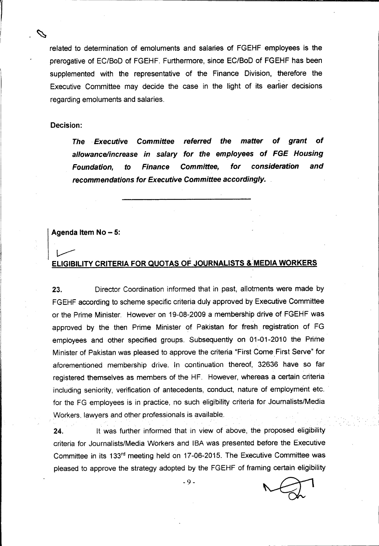related to determination of emoluments and salaries of FGEHF employees is the prerogative of EC/BoD of FGEHF. Furthermore, since EC/BoD of FGEHF has been supplemented with the representative of the Finance Division, therefore the Executive Committee may decide the case in the light of its earlier decisions regarding emoluments and salaries.

#### Decision:

*The .Executive Committee referred the matter* of *grant* of *allowance/increase in salary for the employees* of *FGE Housing Foundation,* to *Finance Committee, for consideration and recommendations for Executive Committee accordingly\_*

#### Agenda Item  $No - 5$ :

# *v--* ELIGIBILITY CRITERIA FOR QUOTAS OF JOURNALISTS & MEDIA WORKERS

23. Director Coordination informed that in past, allotments were made by FGEHF according to scheme specific criteria duly approved by Executive Committee or the Prime Minister. However on 19-08-2009 a membership drive of FGEHF was approved by the then Prime Minister of Pakistan for fresh registration of FG employees and other specified groups. Subsequently on 01-01-2010 the Prime Minister of Pakistan was pleased to approve the criteria "First Come First Serve" for aforementioned membership drive. In continuation thereof, 32636 have so far registered themselves as members of the HF. However, whereas a certain criteria including seniority, verification of antecedents, conduct, nature of employment etc. for the FG employees is in practice, no such eligibility criteria for Journalists/Media Workers. lawyers and other professionals is available.

24. It was further informed that in view of above, the proposed eligibility criteria for Journalists/Media Workers and ISA was presented before the Executive Committee in its 133rd meeting held on 17-06-2015. The Executive Committee was pleased to approve the strategy adopted by the FGEHF of framing certain eligibility

-9-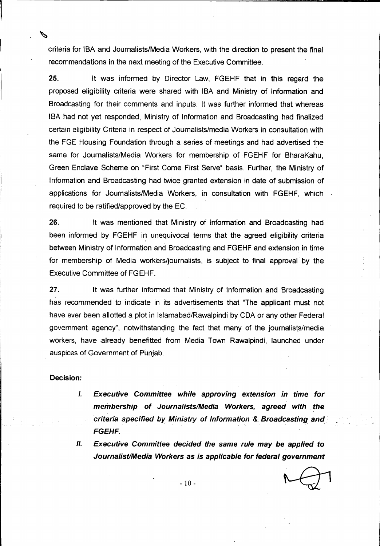criteria for ISA and Journalists/Media Workers, with the direction to present the final recommendations in the next meeting of the Executive Committee.

--~~~~~~~~~~.\_-~~---------=======------=-------

25. It was informed by Director Law, FGEHF that in this regard the proposed eligibility criteria were shared with ISA and Ministry of Information and Broadcasting for their comments and inputs. It was further informed that whereas IBA had not yet responded, Ministry of Information and Broadcasting had finalized certain eligibility Criteria in respect of Journalists/media Workers in consultation with the FGE Housing Foundation through a series of meetings and had advertised the same for Journalists/Media Workers for membership of FGEHF for BharaKahu, Green Enclave Scheme on "First Come First Serve" basis. Further, the Ministry of Information and Broadcasting had twice granted extension in date of submission of applications for Joumalists/Media Workers, in consultation with FGEHF, which required to be ratified/approved by the EC.

26. It was mentioned that Ministry of Information and Broadcasting had been informed by FGEHF in unequivocal terms that the agreed eligibility criteria between Ministry of Information and Broadcasting and FGEHF and extension in time for membership of Media workers/journalists, is subject to final approval' by the Executive Committee of FGEHF.

27. It was further informed that Ministry of Information and Broadcasting has recommended to indicate in its advertisements that "The applicant must not have ever been allotted a plot in Islamabad/Rawalpindi by CDA or any other Federal government agency", notwithstanding the fact that many of the journalists/media workers, have already benefitted from Media Town Rawalpindi, launched under auspices of Government of Punjab.

#### Decision:

 $\begin{bmatrix} 1 \\ 1 \end{bmatrix}$ 

- *J, Executive Committee while approving extension in time for membership of JournalistslMedia Workers, agreed with the criteria specified by Ministry of Information* & *Broadcasting and . FGEHF.*
- *II. Executive Committee decided the same rule may be applied* to *JournalistlMedia Workers* as *is applicable for federal government*

- 10-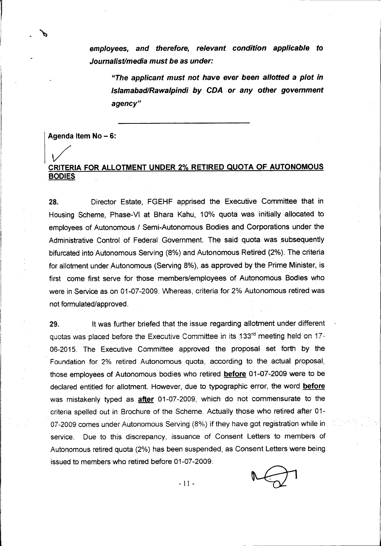*employees, and therefore, relevant condition applicable to Journalist/mediamust be* as *under:*

*liThe applicant must not have ever been allotted* a *plot in Islamabad/Rawalpindi by CDA or any other government agency"*

Agenda Item No - 6:

# CRITERIA *V* FOR ALLOTMENT UNDER 2% RETIRED QUOTA OF AUTONOMOUS BODIES

28. Director Estate, FGEHF apprised the Executive Committee that in Housing Scheme, Phase-VI at Bhara Kahu, 10% quota was initially allocated to employees of Autonomous / Semi-Autonomous Bodies and Corporations under the Administrative Control of Federal Government. The said quota was subsequently bifurcated into Autonomous Serving (8%) and Autonomous Retired (2%). The criteria for allotment under Autonomous (Serving 8%), as approved by the Prime Minister, is first come first serve for those members/employees of Autonomous Bodies who were in Service as on 01-07-2009. Whereas, criteria for 2% Autonomous retired was not formulated/approved.

29. It was further briefed that the issue regarding allotment under different quotas was placed before the Executive Committee in its 133<sup>rd</sup> meeting held on 17-06-2015. The Executive Committee approved the proposal set forth by the Foundation for 2% retired Autonomous quota, according to the actual proposal, those employees of Autonomous bodies who retired **before** 01-07-2009 were to be declared entitled for allotment. However, due to typographic error, the word before was mistakenly typed as **after** 01-07-2009, which do not commensurate to the criteria spelled out in Brochure of the Scheme. Actually those who retired after 01- 07-2009 comes under Autonomous Serving (8%) if they have got registration while in service. Due to this discrepancy, issuance of Consent Letters to members of Autonomous retired quota (2%) has been suspended, as Consent Letters were being issued to members who retired before 01-07-2009.



- 11 -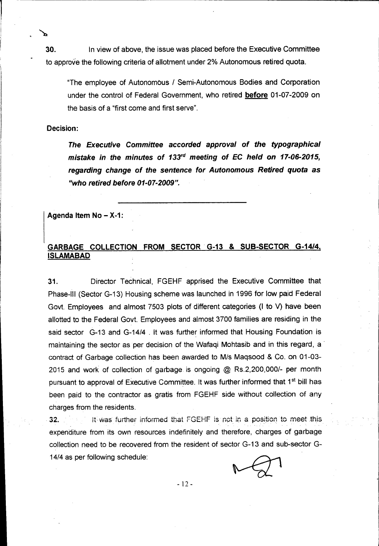**30.** In view of above, the issue was placed before the Executive Committee to approve the following criteria of allotment under 2% Autonomous retired quota.

"The employee of Autonomous *I* Semi-Autonomous Bodies and Corporation under the control of Federal Government, who retired **before** 01-07-2009 on the basis of a "first come and first serve".

#### Decision:

r-.

I

*The Executive Committee accorded approval* of *the typographical mistake in the minutes* of *133,d meeting* of *EC held* on *17-06-2015, regarding change* of *the sentence for Autonomous Retired quota* as *"who retired before 01-07-2009".*

Agenda Item  $No - X-1$ :

### GARBAGE COLLECTION FROM SECTOR. G-13 & SUB-SECTOR *G-14/4,* ISLAMABAD

31. Director Technical, FGEHF apprised the Executive Committee that Phase-III (Sector G-13) Housing scheme was launched in 1996 for low paid Federal Govt. Employees and almost 7503 plots of different categories (I to V) have been allotted to the Federal Govt. Employees and almost 3700 families are residing in the said sector G-13 and G-14/4 . It was further informed that Housing Foundation is maintaining the sector as per decision of the Wafaqi Mohtasib and in this regard, a contract of Garbage collection has been awarded to *Mis* Maqsood & Co, on 01-03- 2015 and work of collection of garbage is ongoing @ *RS.2,200,0001-* per month pursuant to approval of Executive Committee. It was further informed that 1<sup>st</sup> bill has been paid to the contractor as gratis from FGEHF side without collection of any charges from the residents,

32 . **In the lattace into the unit informed** that FGEHF is not in a position to meet this expenditure from its own resources indefinitely and therefore, charges of garbage collection need to be recovered from the resident of sector G-13 and sub-sector G-*14/4* as per following schedule:



- 12 -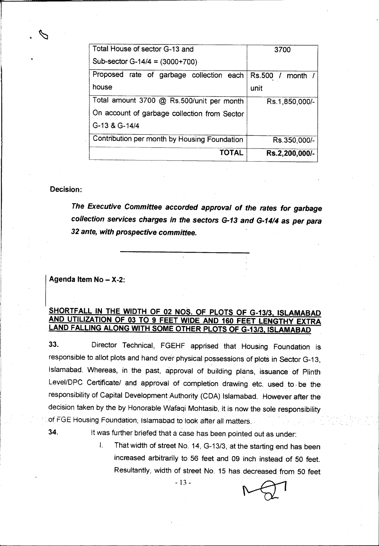| Total House of sector G-13 and               | 3700              |
|----------------------------------------------|-------------------|
| Sub-sector G-14/4 = $(3000+700)$             |                   |
| Proposed rate of garbage collection each     | Rs.500 /<br>month |
| house                                        | unit              |
| Total amount 3700 @ Rs.500/unit per month    | Rs.1,850,000/-    |
| On account of garbage collection from Sector |                   |
| G-13 & G-14/4                                |                   |
| Contribution per month by Housing Foundation | Rs.350,000/-      |
| TOTAL                                        | Rs.2,200,000/-    |

#### Decision:

r==.::::allll---- -==~--="==-"-" ..«".".' •• ~-

I

*The Executive Committee accorded approval of the rates for garbage collection services charges in the sectors G-13 and G-14/4* as *per para 32 ante, with prospective committee.*

#### Agenda Item  $No - X-2$ :

#### SHORTFALL IN THE WIDTH OF 02 NOS. OF PLOTS OF G-13/3, ISLAMABAD AND UTILIZATION OF 03 TO 9 FEET WIDE AND 160 FEET LENGTHY EXTRA LAND FALLING ALONG WITH SOME OTHER PLOTS OF *G-13/3,* ISLAMABAD

33. Director Technical, FGEHF apprised that Housing Foundation is responsible to allot plots and hand over physical possessions of plots in Sector G-13, Islamabad. Whereas, in the past, approval of building plans, issuance of Plinth Level/DPC Certificate/ and approval of completion drawing etc. used to be the responsibility of Capital Development Authority (CDA) Islamabad. However after the decision taken by the by Honorable Wafaqi Mohtasib, it is now the sole responsibility of FGE Housing Foundation, Islamabad to look after all matters.

34. It was further briefed that a case has been pointed out as under:

I. That width of street No. 14, *G-13/3,* at the starting end has been increased arbitrarily to 56 feet and 09 inch instead of 50 feet. Resultantly, width of street No. 15 has decreased from 50 feet

- 13 -